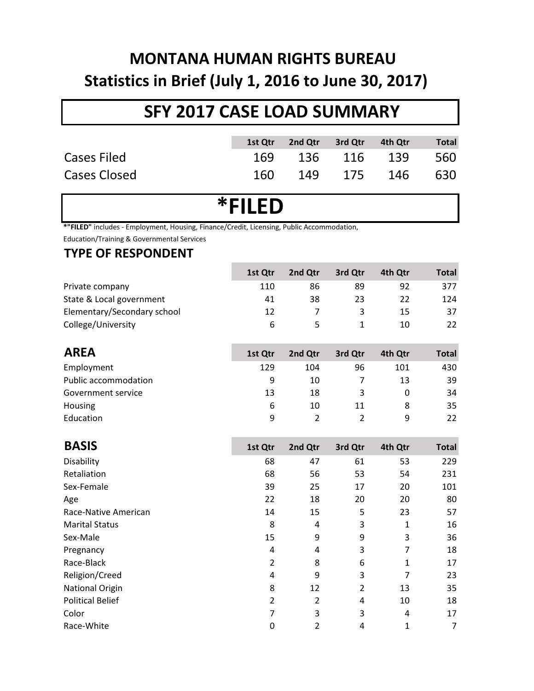## **MONTANA HUMAN RIGHTS BUREAU Statistics in Brief (July 1, 2016 to June 30, 2017)**

## **SFY 2017 CASE LOAD SUMMARY**

|              | 1st Qtr | 2nd Qtr 3rd Qtr | 4th Qtr         | <b>Total</b> |
|--------------|---------|-----------------|-----------------|--------------|
| Cases Filed  |         |                 | 169 136 116 139 | 560          |
| Cases Closed | 160.    |                 | 149 175 146     | 630          |

# **\*FILED**

**\*"FILED"** includes - Employment, Housing, Finance/Credit, Licensing, Public Accommodation,

Education/Training & Governmental Services

## **TYPE OF RESPONDENT**

|                             | 1st Otr | 2nd Otr | 3rd Qtr | 4th Otr | Total |
|-----------------------------|---------|---------|---------|---------|-------|
| Private company             | 110     | 86      | 89      | 92      | 377   |
| State & Local government    | 41      | 38      | 23      | 22      | 124   |
| Elementary/Secondary school | 12      |         |         | 15      | 37    |
| College/University          | 6       |         |         | 10      | 22    |

| <b>AREA</b>          | 1st Qtr | 2nd Qtr | 3rd Qtr | 4th Otr | <b>Total</b> |
|----------------------|---------|---------|---------|---------|--------------|
| Employment           | 129     | 104     | 96      | 101     | 430          |
| Public accommodation | 9       | 10      |         | 13      | 39           |
| Government service   | 13      | 18      | 3       |         | 34           |
| <b>Housing</b>       | 6       | 10      | 11      |         | 35           |
| Education            | q       |         |         | Q       | 22           |

| <b>BASIS</b>            | 1st Qtr | 2nd Qtr        | 3rd Qtr | 4th Qtr | <b>Total</b> |
|-------------------------|---------|----------------|---------|---------|--------------|
| Disability              | 68      | 47             | 61      | 53      | 229          |
| Retaliation             | 68      | 56             | 53      | 54      | 231          |
| Sex-Female              | 39      | 25             | 17      | 20      | 101          |
| Age                     | 22      | 18             | 20      | 20      | 80           |
| Race-Native American    | 14      | 15             | 5       | 23      | 57           |
| <b>Marital Status</b>   | 8       | 4              | 3       | 1       | 16           |
| Sex-Male                | 15      | 9              | 9       | 3       | 36           |
| Pregnancy               | 4       | 4              | 3       | 7       | 18           |
| Race-Black              | 2       | 8              | 6       | 1       | 17           |
| Religion/Creed          | 4       | 9              | 3       | 7       | 23           |
| <b>National Origin</b>  | 8       | 12             | 2       | 13      | 35           |
| <b>Political Belief</b> | 2       | $\overline{2}$ | 4       | 10      | 18           |
| Color                   | 7       | 3              | 3       | 4       | 17           |
| Race-White              | 0       | 2              | 4       | 1       | 7            |